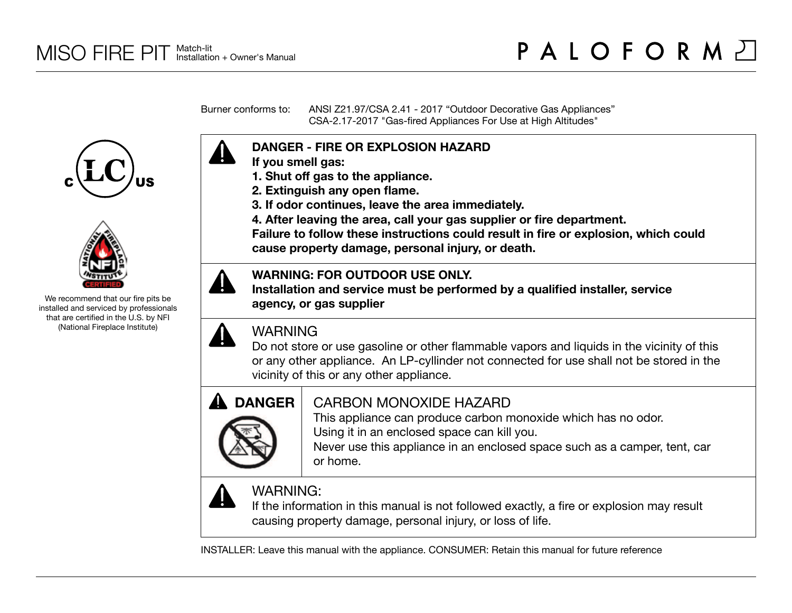Burner conforms to: ANSI Z21.97/CSA 2.41 - 2017 "Outdoor Decorative Gas Appliances" CSA-2.17-2017 "Gas-fired Appliances For Use at High Altitudes"





We recommend that our fire pits be installed and serviced by professionals that are certified in the U.S. by NFI (National Fireplace Institute)



- **If you smell gas:**
- **1. Shut off gas to the appliance.**
- **2. Extinguish any open flame.**
- **3. If odor continues, leave the area immediately.**
- **4. After leaving the area, call your gas supplier or fire department.**

**Failure to follow these instructions could result in fire or explosion, which could cause property damage, personal injury, or death.**



**Installation and service must be performed by a qualified installer, service agency, or gas supplier**



# WARNING

Do not store or use gasoline or other flammable vapors and liquids in the vicinity of this or any other appliance. An LP-cyllinder not connected for use shall not be stored in the vicinity of this or any other appliance.



# CARBON MONOXIDE HAZARD

This appliance can produce carbon monoxide which has no odor. Using it in an enclosed space can kill you.

Never use this appliance in an enclosed space such as a camper, tent, car or home.



# WARNING:

If the information in this manual is not followed exactly, a fire or explosion may result causing property damage, personal injury, or loss of life.

INSTALLER: Leave this manual with the appliance. CONSUMER: Retain this manual for future reference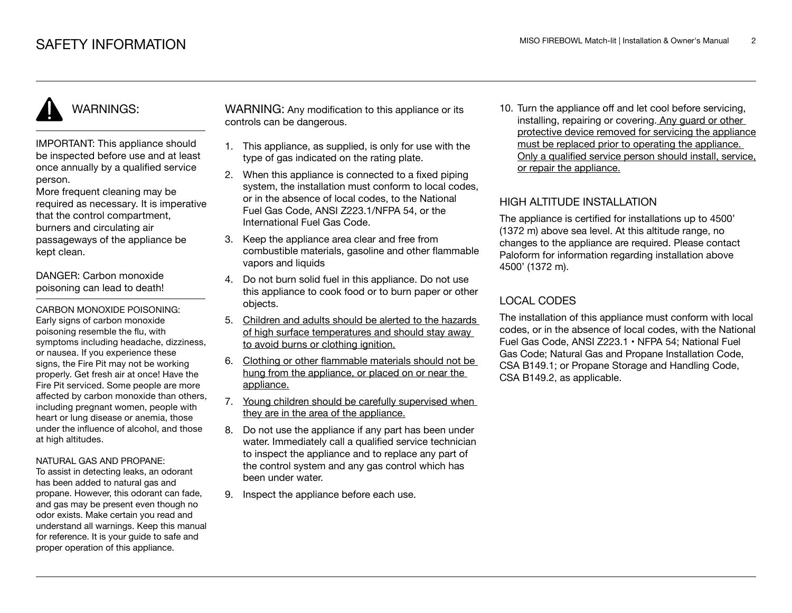# WARNINGS:

IMPORTANT: This appliance should be inspected before use and at least once annually by a qualified service person.

More frequent cleaning may be required as necessary. It is imperative that the control compartment, burners and circulating air passageways of the appliance be kept clean.

DANGER: Carbon monoxide poisoning can lead to death!

CARBON MONOXIDE POISONING: Early signs of carbon monoxide poisoning resemble the flu, with symptoms including headache, dizziness, or nausea. If you experience these signs, the Fire Pit may not be working properly. Get fresh air at once! Have the Fire Pit serviced. Some people are more affected by carbon monoxide than others, including pregnant women, people with heart or lung disease or anemia, those under the influence of alcohol, and those at high altitudes.

#### NATURAL GAS AND PROPANE:

To assist in detecting leaks, an odorant has been added to natural gas and propane. However, this odorant can fade, and gas may be present even though no odor exists. Make certain you read and understand all warnings. Keep this manual for reference. It is your guide to safe and proper operation of this appliance.

WARNING: Any modification to this appliance or its controls can be dangerous.

- 1. This appliance, as supplied, is only for use with the type of gas indicated on the rating plate.
- 2. When this appliance is connected to a fixed piping system, the installation must conform to local codes. or in the absence of local codes, to the National Fuel Gas Code, ANSI Z223.1/NFPA 54, or the International Fuel Gas Code.
- 3. Keep the appliance area clear and free from combustible materials, gasoline and other flammable vapors and liquids
- 4. Do not burn solid fuel in this appliance. Do not use this appliance to cook food or to burn paper or other objects.
- 5. Children and adults should be alerted to the hazards of high surface temperatures and should stay away to avoid burns or clothing ignition.
- 6. Clothing or other flammable materials should not be hung from the appliance, or placed on or near the appliance.
- 7. Young children should be carefully supervised when they are in the area of the appliance.
- 8. Do not use the appliance if any part has been under water. Immediately call a qualified service technician to inspect the appliance and to replace any part of the control system and any gas control which has been under water.
- 9. Inspect the appliance before each use.

10. Turn the appliance off and let cool before servicing, installing, repairing or covering. Any guard or other protective device removed for servicing the appliance must be replaced prior to operating the appliance. Only a qualified service person should install, service, or repair the appliance.

#### HIGH ALTITUDE INSTALLATION

The appliance is certified for installations up to 4500' (1372 m) above sea level. At this altitude range, no changes to the appliance are required. Please contact Paloform for information regarding installation above 4500' (1372 m).

# LOCAL CODES

The installation of this appliance must conform with local codes, or in the absence of local codes, with the National Fuel Gas Code, ANSI Z223.1 • NFPA 54; National Fuel Gas Code; Natural Gas and Propane Installation Code, CSA B149.1; or Propane Storage and Handling Code, CSA B149.2, as applicable.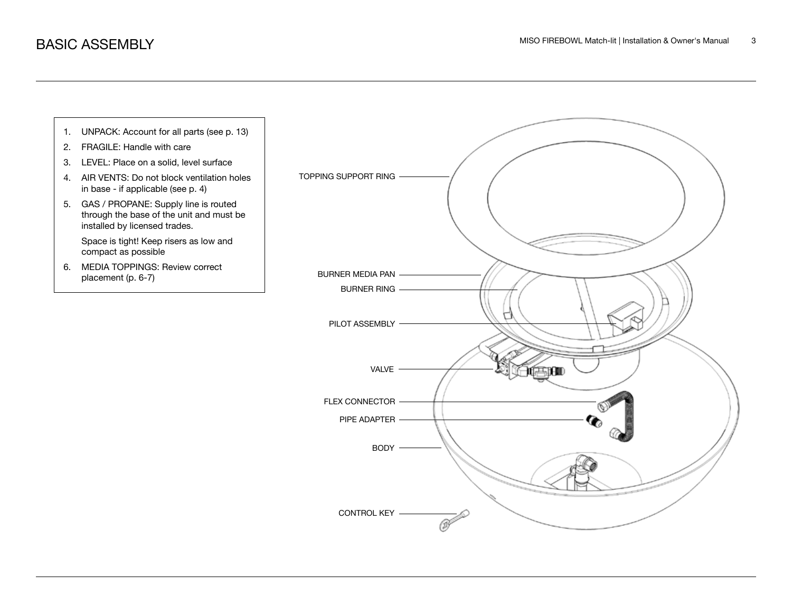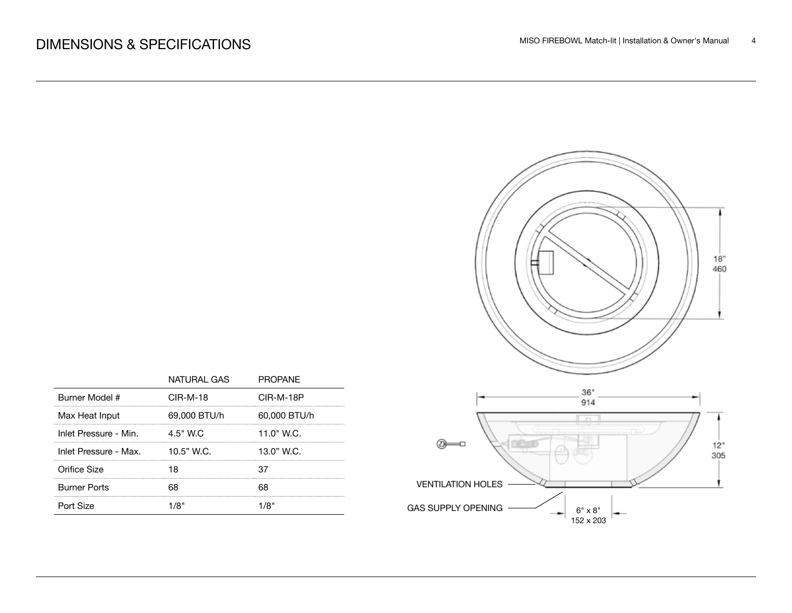

|                       | NATURAL GAS  | <b>PROPANE</b> |                                             |
|-----------------------|--------------|----------------|---------------------------------------------|
| Burner Model #        | $CIR-M-18$   | CIR-M-18P      | 36"<br>914                                  |
| Max Heat Input        | 69,000 BTU/h | 60,000 BTU/h   |                                             |
| Inlet Pressure - Min. | 4.5" W.C     | 11.0" W.C.     |                                             |
| Inlet Pressure - Max. | 10.5" W.C.   | 13.0" W.C.     |                                             |
| Orifice Size          | 18           | 37             |                                             |
| <b>Burner Ports</b>   | 68           | 68             | <b>VENTILATION HOLES</b>                    |
| Port Size             | 1/8"         | 1/8"           | <b>GAS SUPPLY OPENING</b><br>$6" \times 8"$ |
|                       |              |                |                                             |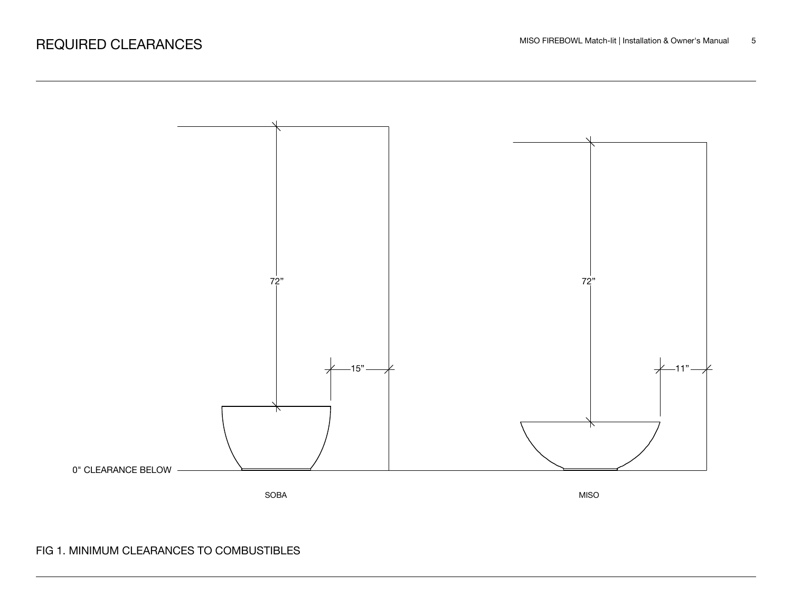

# FIG 1. MINIMUM CLEARANCES TO COMBUSTIBLES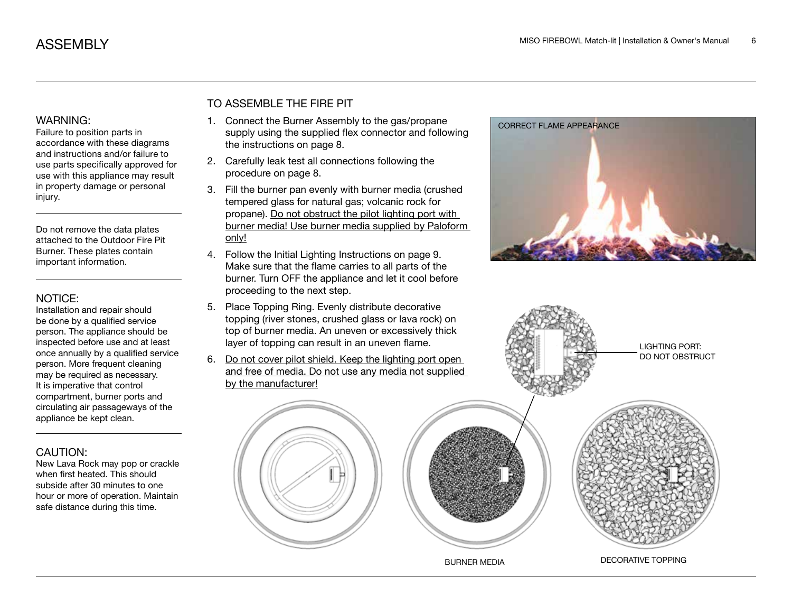#### WARNING:

Failure to position parts in accordance with these diagrams and instructions and/or failure to use parts specifically approved for use with this appliance may result in property damage or personal injury.

Do not remove the data plates attached to the Outdoor Fire Pit Burner. These plates contain important information.

#### NOTICE:

Installation and repair should be done by a qualified service person. The appliance should be inspected before use and at least once annually by a qualified service person. More frequent cleaning may be required as necessary. It is imperative that control compartment, burner ports and circulating air passageways of the appliance be kept clean.

#### CAUTION:

New Lava Rock may pop or crackle when first heated. This should subside after 30 minutes to one hour or more of operation. Maintain safe distance during this time.

### TO ASSEMBLE THE FIRE PIT

- 1. Connect the Burner Assembly to the gas/propane supply using the supplied flex connector and following the instructions on page 8.
- 2. Carefully leak test all connections following the procedure on page 8.
- 3. Fill the burner pan evenly with burner media (crushed tempered glass for natural gas; volcanic rock for propane). Do not obstruct the pilot lighting port with burner media! Use burner media supplied by Paloform only!
- 4. Follow the Initial Lighting Instructions on page 9. Make sure that the flame carries to all parts of the burner. Turn OFF the appliance and let it cool before proceeding to the next step.
- 5. Place Topping Ring. Evenly distribute decorative topping (river stones, crushed glass or lava rock) on top of burner media. An uneven or excessively thick layer of topping can result in an uneven flame.
- 6. Do not cover pilot shield. Keep the lighting port open and free of media. Do not use any media not supplied by the manufacturer!





BURNER MEDIA DECORATIVE TOPPING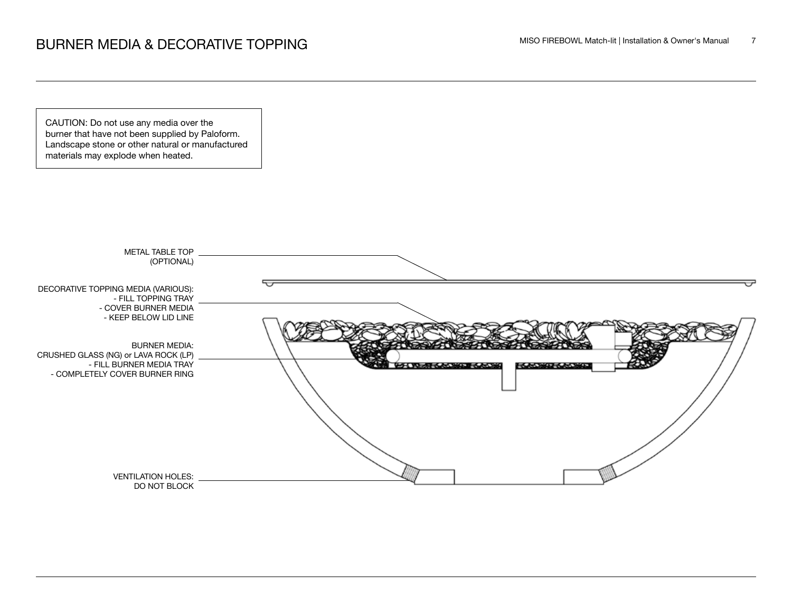CAUTION: Do not use any media over the burner that have not been supplied by Paloform. Landscape stone or other natural or manufactured materials may explode when heated.

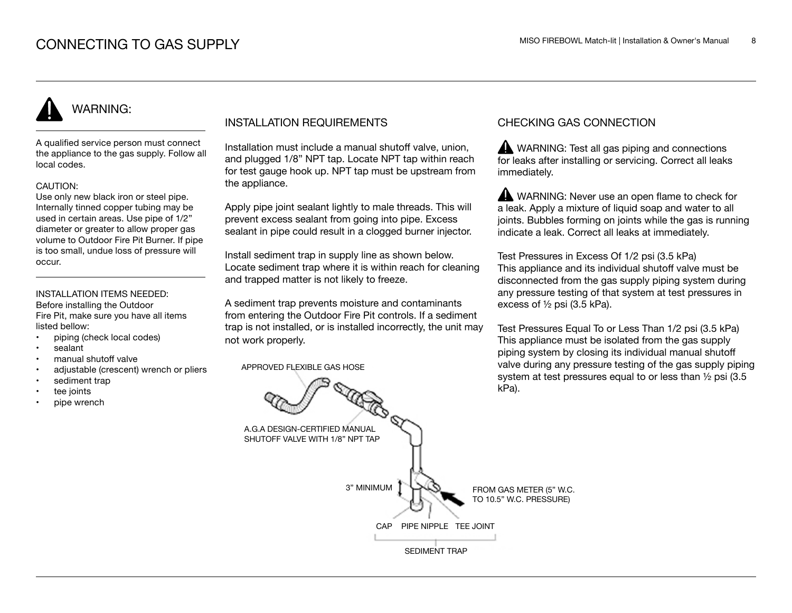# WARNING:

A qualified service person must connect the appliance to the gas supply. Follow all local codes.

#### CAUTION:

Use only new black iron or steel pipe. Internally tinned copper tubing may be used in certain areas. Use pipe of 1/2" diameter or greater to allow proper gas volume to Outdoor Fire Pit Burner. If pipe is too small, undue loss of pressure will occur.

#### INSTALLATION ITEMS NEEDED:

Before installing the Outdoor Fire Pit, make sure you have all items listed bellow:

- piping (check local codes)
- sealant
- manual shutoff valve
- adjustable (crescent) wrench or pliers
- sediment trap
- tee joints
- pipe wrench

#### INSTALLATION REQUIREMENTS

Installation must include a manual shutoff valve, union, and plugged 1/8" NPT tap. Locate NPT tap within reach for test gauge hook up. NPT tap must be upstream from the appliance.

Apply pipe joint sealant lightly to male threads. This will prevent excess sealant from going into pipe. Excess sealant in pipe could result in a clogged burner injector.

Install sediment trap in supply line as shown below. Locate sediment trap where it is within reach for cleaning and trapped matter is not likely to freeze.

A sediment trap prevents moisture and contaminants from entering the Outdoor Fire Pit controls. If a sediment trap is not installed, or is installed incorrectly, the unit may not work properly.

APPROVED FLEXIBLE GAS HOSE

#### CHECKING GAS CONNECTION

WARNING: Test all gas piping and connections for leaks after installing or servicing. Correct all leaks immediately.

WARNING: Never use an open flame to check for a leak. Apply a mixture of liquid soap and water to all joints. Bubbles forming on joints while the gas is running indicate a leak. Correct all leaks at immediately.

Test Pressures in Excess Of 1/2 psi (3.5 kPa) This appliance and its individual shutoff valve must be disconnected from the gas supply piping system during any pressure testing of that system at test pressures in excess of ½ psi (3.5 kPa).

Test Pressures Equal To or Less Than 1/2 psi (3.5 kPa) This appliance must be isolated from the gas supply piping system by closing its individual manual shutoff valve during any pressure testing of the gas supply piping system at test pressures equal to or less than ½ psi (3.5 kPa).

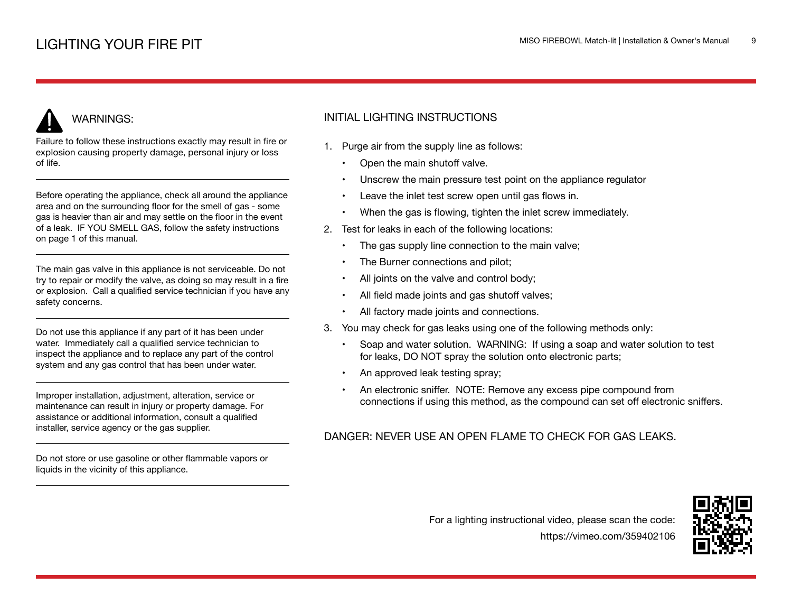# WARNINGS:

Failure to follow these instructions exactly may result in fire or explosion causing property damage, personal injury or loss of life.

Before operating the appliance, check all around the appliance area and on the surrounding floor for the smell of gas - some gas is heavier than air and may settle on the floor in the event of a leak. IF YOU SMELL GAS, follow the safety instructions on page 1 of this manual.

The main gas valve in this appliance is not serviceable. Do not try to repair or modify the valve, as doing so may result in a fire or explosion. Call a qualified service technician if you have any safety concerns.

Do not use this appliance if any part of it has been under water. Immediately call a qualified service technician to inspect the appliance and to replace any part of the control system and any gas control that has been under water.

Improper installation, adjustment, alteration, service or maintenance can result in injury or property damage. For assistance or additional information, consult a qualified installer, service agency or the gas supplier.

Do not store or use gasoline or other flammable vapors or liquids in the vicinity of this appliance.

## INITIAL LIGHTING INSTRUCTIONS

- 1. Purge air from the supply line as follows:
	- Open the main shutoff valve.
	- Unscrew the main pressure test point on the appliance regulator
	- Leave the inlet test screw open until gas flows in.
	- When the gas is flowing, tighten the inlet screw immediately.
- 2. Test for leaks in each of the following locations:
	- The gas supply line connection to the main valve;
	- The Burner connections and pilot;
	- All joints on the valve and control body;
	- All field made joints and gas shutoff valves;
	- All factory made joints and connections.
- 3. You may check for gas leaks using one of the following methods only:
	- Soap and water solution. WARNING: If using a soap and water solution to test for leaks, DO NOT spray the solution onto electronic parts;
	- An approved leak testing spray;
	- An electronic sniffer. NOTE: Remove any excess pipe compound from connections if using this method, as the compound can set off electronic sniffers.

## DANGER: NEVER USE AN OPEN FLAME TO CHECK FOR GAS LEAKS.



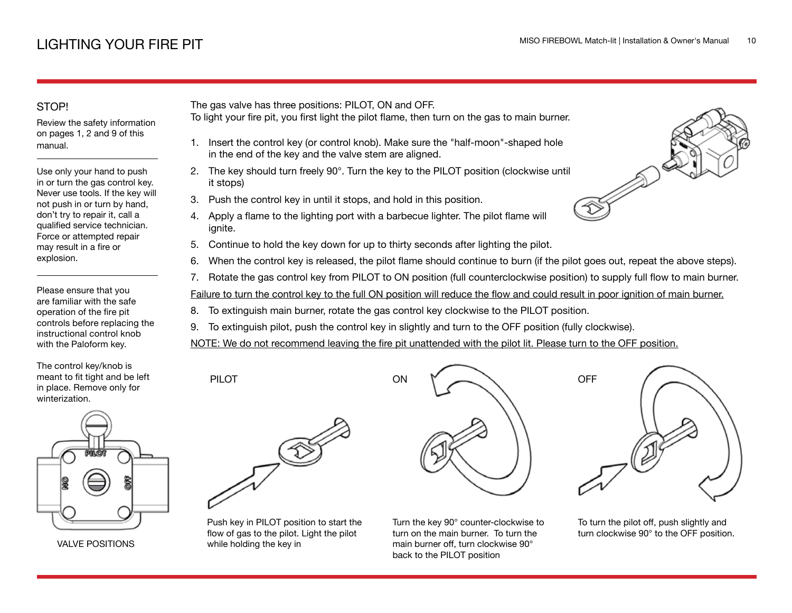## STOP!

Review the safety information on pages 1, 2 and 9 of this manual.

Use only your hand to push in or turn the gas control key. Never use tools. If the key will not push in or turn by hand, don't try to repair it, call a qualified service technician. Force or attempted repair may result in a fire or explosion.

Please ensure that you are familiar with the safe operation of the fire pit controls before replacing the instructional control knob with the Paloform key.

The control key/knob is meant to fit tight and be left in place. Remove only for winterization.



VALVE POSITIONS

The gas valve has three positions: PILOT, ON and OFF.

- To light your fire pit, you first light the pilot flame, then turn on the gas to main burner.
	- 1. Insert the control key (or control knob). Make sure the "half-moon"-shaped hole in the end of the key and the valve stem are aligned.
- 2. The key should turn freely 90°. Turn the key to the PILOT position (clockwise until it stops)
- 3. Push the control key in until it stops, and hold in this position.
- 4. Apply a flame to the lighting port with a barbecue lighter. The pilot flame will ignite.
- 5. Continue to hold the key down for up to thirty seconds after lighting the pilot.
- 6. When the control key is released, the pilot flame should continue to burn (if the pilot goes out, repeat the above steps).
- 7. Rotate the gas control key from PILOT to ON position (full counterclockwise position) to supply full flow to main burner.

Failure to turn the control key to the full ON position will reduce the flow and could result in poor ignition of main burner.

- 8. To extinguish main burner, rotate the gas control key clockwise to the PILOT position.
- 9. To extinguish pilot, push the control key in slightly and turn to the OFF position (fully clockwise).

ON

NOTE: We do not recommend leaving the fire pit unattended with the pilot lit. Please turn to the OFF position.



PILOT

Push key in PILOT position to start the flow of gas to the pilot. Light the pilot while holding the key in

Turn the key 90° counter-clockwise to turn on the main burner. To turn the main burner off, turn clockwise 90° back to the PILOT position



To turn the pilot off, push slightly and turn clockwise 90° to the OFF position.

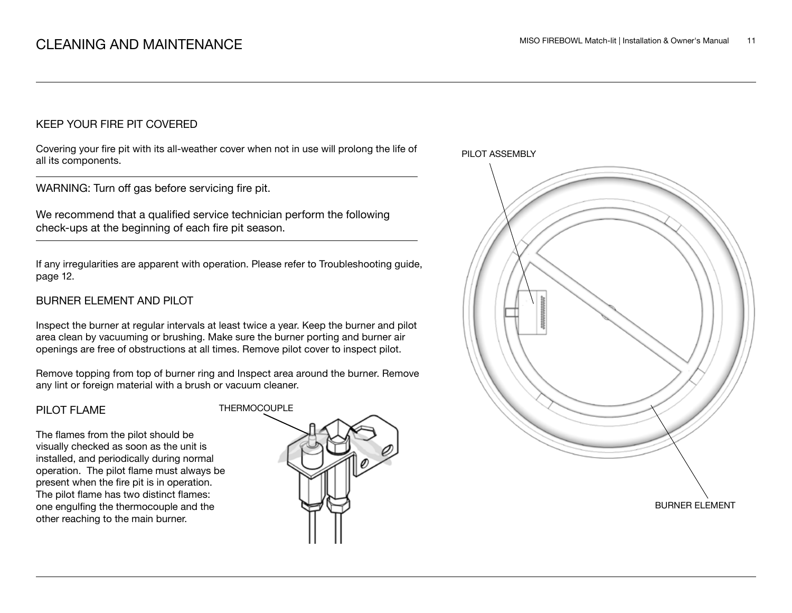#### KEEP YOUR FIRE PIT COVERED

Covering your fire pit with its all-weather cover when not in use will prolong the life of all its components.

WARNING: Turn off gas before servicing fire pit.

We recommend that a qualified service technician perform the following check-ups at the beginning of each fire pit season.

If any irregularities are apparent with operation. Please refer to Troubleshooting guide, page 12.

#### BURNER ELEMENT AND PILOT

Inspect the burner at regular intervals at least twice a year. Keep the burner and pilot area clean by vacuuming or brushing. Make sure the burner porting and burner air openings are free of obstructions at all times. Remove pilot cover to inspect pilot.

Remove topping from top of burner ring and Inspect area around the burner. Remove any lint or foreign material with a brush or vacuum cleaner.

#### PILOT FLAME

The flames from the pilot should be visually checked as soon as the unit is installed, and periodically during normal operation. The pilot flame must always be present when the fire pit is in operation. The pilot flame has two distinct flames: one engulfing the thermocouple and the other reaching to the main burner.



PILOT ASSEMBLY

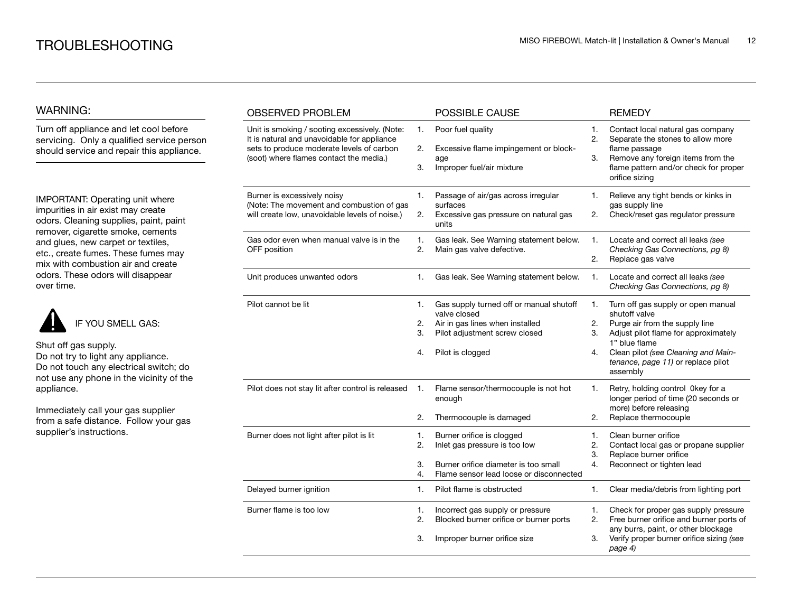#### WARNING:

Turn off appliance and let cool before servicing. Only a qualified service person should service and repair this appliance.

IMPORTANT: Operating unit where impurities in air exist may create odors. Cleaning supplies, paint, paint remover, cigarette smoke, cements and glues, new carpet or textiles, etc., create fumes. These fumes may mix with combustion air and create odors. These odors will disappear over time.



Shut off gas supply. Do not try to light any appliance. Do not touch any electrical switch; do

not use any phone in the vicinity of the appliance.

Immediately call your gas supplier from a safe distance. Follow your gas supplier's instructions.

| <b>OBSERVED PROBLEM</b>                                                                                                                                                              |                      | POSSIBLE CAUSE                                                                                                                                  |                      | <b>REMEDY</b>                                                                                                                                                                                                                           |
|--------------------------------------------------------------------------------------------------------------------------------------------------------------------------------------|----------------------|-------------------------------------------------------------------------------------------------------------------------------------------------|----------------------|-----------------------------------------------------------------------------------------------------------------------------------------------------------------------------------------------------------------------------------------|
| Unit is smoking / sooting excessively. (Note:<br>It is natural and unavoidable for appliance<br>sets to produce moderate levels of carbon<br>(soot) where flames contact the media.) |                      | Poor fuel quality<br>Excessive flame impingement or block-<br>age<br>Improper fuel/air mixture                                                  | 1.<br>2.<br>3.       | Contact local natural gas company<br>Separate the stones to allow more<br>flame passage<br>Remove any foreign items from the<br>flame pattern and/or check for proper<br>orifice sizing                                                 |
| Burner is excessively noisy<br>(Note: The movement and combustion of gas<br>will create low, unavoidable levels of noise.)                                                           |                      | Passage of air/gas across irregular<br>surfaces<br>Excessive gas pressure on natural gas<br>units                                               | 1.<br>2.             | Relieve any tight bends or kinks in<br>gas supply line<br>Check/reset gas regulator pressure                                                                                                                                            |
| Gas odor even when manual valve is in the<br>OFF position                                                                                                                            | 1.<br>2.             | Gas leak. See Warning statement below.<br>Main gas valve defective.                                                                             | 1.<br>2.             | Locate and correct all leaks (see<br>Checking Gas Connections, pg 8)<br>Replace gas valve                                                                                                                                               |
| Unit produces unwanted odors                                                                                                                                                         | 1.                   | Gas leak. See Warning statement below.                                                                                                          | 1.                   | Locate and correct all leaks (see<br>Checking Gas Connections, pg 8)                                                                                                                                                                    |
| Pilot cannot be lit                                                                                                                                                                  | 1.<br>2.<br>3.<br>4. | Gas supply turned off or manual shutoff<br>valve closed<br>Air in gas lines when installed<br>Pilot adjustment screw closed<br>Pilot is clogged | 1.<br>2.<br>3.<br>4. | Turn off gas supply or open manual<br>shutoff valve<br>Purge air from the supply line<br>Adjust pilot flame for approximately<br>1" blue flame<br>Clean pilot (see Cleaning and Main-<br>tenance, page 11) or replace pilot<br>assembly |
| Pilot does not stay lit after control is released                                                                                                                                    | 1.<br>2.             | Flame sensor/thermocouple is not hot<br>enough<br>Thermocouple is damaged                                                                       | 1.<br>2.             | Retry, holding control 0key for a<br>longer period of time (20 seconds or<br>more) before releasing<br>Replace thermocouple                                                                                                             |
| Burner does not light after pilot is lit                                                                                                                                             | 1.<br>2.<br>3.<br>4. | Burner orifice is clogged<br>Inlet gas pressure is too low<br>Burner orifice diameter is too small<br>Flame sensor lead loose or disconnected   | 1.<br>2.<br>3.<br>4. | Clean burner orifice<br>Contact local gas or propane supplier<br>Replace burner orifice<br>Reconnect or tighten lead                                                                                                                    |
| Delayed burner ignition                                                                                                                                                              | 1.                   | Pilot flame is obstructed                                                                                                                       | 1.                   | Clear media/debris from lighting port                                                                                                                                                                                                   |
| Burner flame is too low                                                                                                                                                              | 1.<br>2.<br>3.       | Incorrect gas supply or pressure<br>Blocked burner orifice or burner ports<br>Improper burner orifice size                                      | 1.<br>2.<br>3.       | Check for proper gas supply pressure<br>Free burner orifice and burner ports of<br>any burrs, paint, or other blockage<br>Verify proper burner orifice sizing (see<br>page 4)                                                           |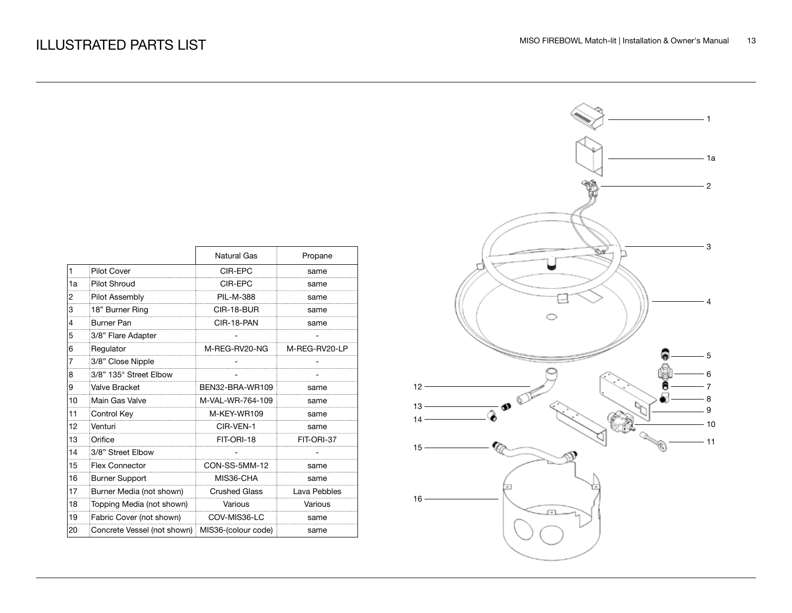|              |                                                 | <b>Natural Gas</b>   | Propane       |
|--------------|-------------------------------------------------|----------------------|---------------|
| $\mathbf{1}$ | <b>Pilot Cover</b>                              | CIR-EPC              | same          |
| 1a           | Pilot Shroud                                    | CIR-EPC              | same          |
| 2            | Pilot Assembly                                  | <b>PIL-M-388</b>     | same          |
| 3            | 18" Burner Ring                                 | CIR-18-BUR           | same          |
| 4            | Burner Pan                                      | CIR-18-PAN           | same          |
| 5            | 3/8" Flare Adapter                              |                      |               |
| 6            | Regulator                                       | M-REG-RV20-NG        | M-REG-RV20-LP |
| 7            | 3/8" Close Nipple                               |                      |               |
| 8            | 3/8" 135° Street Elbow                          |                      |               |
| 9            | Valve Bracket                                   | BEN32-BRA-WR109      | same          |
| 10           | Main Gas Valve                                  | M-VAL-WR-764-109     | same          |
| 11           | Control Key                                     | M-KEY-WR109          | same          |
| 12           | Venturi                                         | CIR-VEN-1            | same          |
| 13           | Orifice                                         | FIT-ORI-18           | FIT-ORI-37    |
| 14           | 3/8" Street Elbow                               |                      |               |
| 15           | <b>Flex Connector</b>                           | CON-SS-5MM-12        | same          |
| 16           | Burner Support                                  | MIS36-CHA            | same          |
| 17           | Burner Media (not shown)                        | <b>Crushed Glass</b> | Lava Pebbles  |
| 18           | Topping Media (not shown)                       | Various              | Various       |
| 19           | Fabric Cover (not shown)                        | COV-MIS36-LC         | same          |
| 20           | Concrete Vessel (not shown) MIS36-(colour code) |                      | same          |